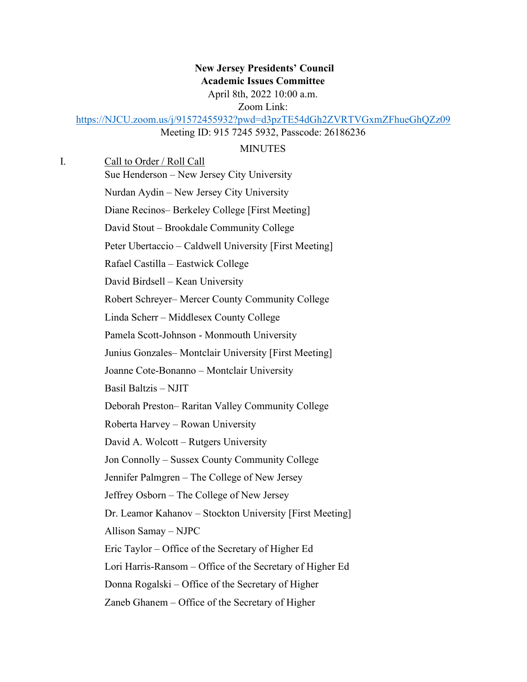# **New Jersey Presidents' Council Academic Issues Committee** April 8th, 2022 10:00 a.m.

Zoom Link:

[https://NJCU.zoom.us/j/91572455932?pwd=d3pzTE54dGh2ZVRTVGxmZFhueGhQZz09](https://njcu.zoom.us/j/91572455932?pwd=d3pzTE54dGh2ZVRTVGxmZFhueGhQZz09) 

Meeting ID: 915 7245 5932, Passcode: 26186236

#### MINUTES

| I. | Call to Order / Roll Call                                 |
|----|-----------------------------------------------------------|
|    | Sue Henderson - New Jersey City University                |
|    | Nurdan Aydin – New Jersey City University                 |
|    | Diane Recinos-Berkeley College [First Meeting]            |
|    | David Stout – Brookdale Community College                 |
|    | Peter Ubertaccio – Caldwell University [First Meeting]    |
|    | Rafael Castilla – Eastwick College                        |
|    | David Birdsell – Kean University                          |
|    | Robert Schreyer-Mercer County Community College           |
|    | Linda Scherr – Middlesex County College                   |
|    | Pamela Scott-Johnson - Monmouth University                |
|    | Junius Gonzales-Montclair University [First Meeting]      |
|    | Joanne Cote-Bonanno - Montclair University                |
|    | Basil Baltzis - NJIT                                      |
|    | Deborah Preston-Raritan Valley Community College          |
|    | Roberta Harvey - Rowan University                         |
|    | David A. Wolcott - Rutgers University                     |
|    | Jon Connolly – Sussex County Community College            |
|    | Jennifer Palmgren – The College of New Jersey             |
|    | Jeffrey Osborn – The College of New Jersey                |
|    | Dr. Leamor Kahanov – Stockton University [First Meeting]  |
|    | Allison Samay - NJPC                                      |
|    | Eric Taylor - Office of the Secretary of Higher Ed        |
|    | Lori Harris-Ransom – Office of the Secretary of Higher Ed |
|    | Donna Rogalski – Office of the Secretary of Higher        |
|    | Zaneb Ghanem – Office of the Secretary of Higher          |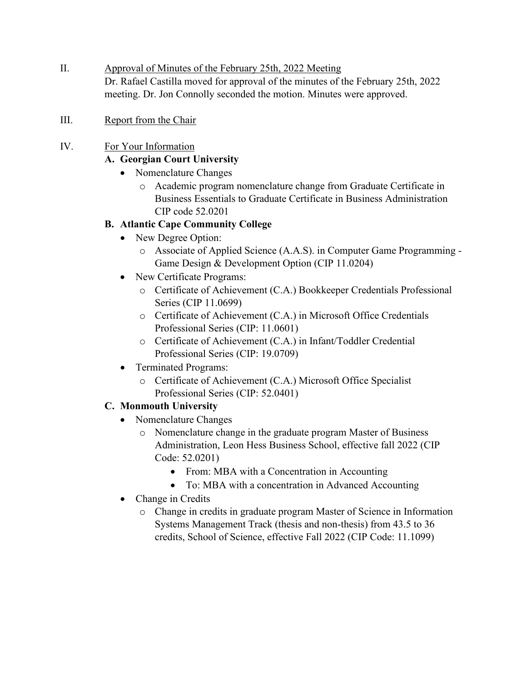- II. Approval of Minutes of the February 25th, 2022 Meeting Dr. Rafael Castilla moved for approval of the minutes of the February 25th, 2022 meeting. Dr. Jon Connolly seconded the motion. Minutes were approved.
- III. Report from the Chair
- IV. For Your Information

## **A. Georgian Court University**

- Nomenclature Changes
	- o Academic program nomenclature change from Graduate Certificate in Business Essentials to Graduate Certificate in Business Administration CIP code 52.0201

#### **B. Atlantic Cape Community College**

- New Degree Option:
	- o Associate of Applied Science (A.A.S). in Computer Game Programming Game Design & Development Option (CIP 11.0204)
- New Certificate Programs:
	- o Certificate of Achievement (C.A.) Bookkeeper Credentials Professional Series (CIP 11.0699)
	- o Certificate of Achievement (C.A.) in Microsoft Office Credentials Professional Series (CIP: 11.0601)
	- o Certificate of Achievement (C.A.) in Infant/Toddler Credential Professional Series (CIP: 19.0709)
- Terminated Programs:
	- o Certificate of Achievement (C.A.) Microsoft Office Specialist Professional Series (CIP: 52.0401)

#### **C. Monmouth University**

- Nomenclature Changes
	- o Nomenclature change in the graduate program Master of Business Administration, Leon Hess Business School, effective fall 2022 (CIP Code: 52.0201)
		- From: MBA with a Concentration in Accounting
		- To: MBA with a concentration in Advanced Accounting
- Change in Credits
	- o Change in credits in graduate program Master of Science in Information Systems Management Track (thesis and non-thesis) from 43.5 to 36 credits, School of Science, effective Fall 2022 (CIP Code: 11.1099)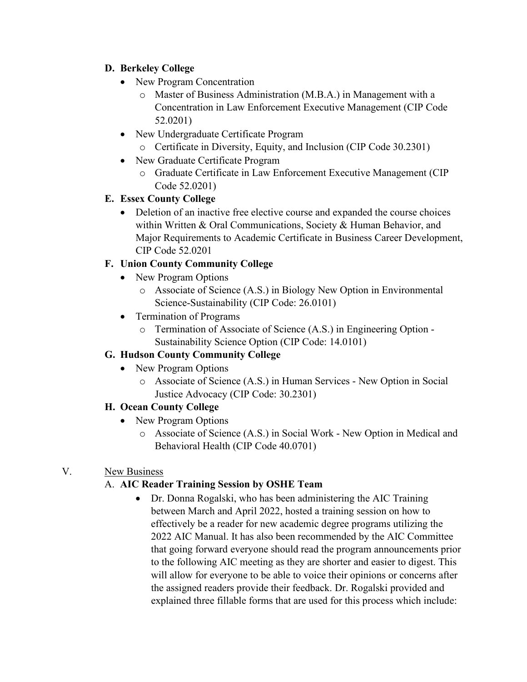# **D. Berkeley College**

- New Program Concentration
	- o Master of Business Administration (M.B.A.) in Management with a Concentration in Law Enforcement Executive Management (CIP Code 52.0201)
- New Undergraduate Certificate Program
	- o Certificate in Diversity, Equity, and Inclusion (CIP Code 30.2301)
- New Graduate Certificate Program
	- o Graduate Certificate in Law Enforcement Executive Management (CIP Code 52.0201)

# **E. Essex County College**

• Deletion of an inactive free elective course and expanded the course choices within Written & Oral Communications, Society & Human Behavior, and Major Requirements to Academic Certificate in Business Career Development, CIP Code 52.0201

# **F. Union County Community College**

- New Program Options
	- o Associate of Science (A.S.) in Biology New Option in Environmental Science-Sustainability (CIP Code: 26.0101)
- Termination of Programs
	- o Termination of Associate of Science (A.S.) in Engineering Option Sustainability Science Option (CIP Code: 14.0101)

## **G. Hudson County Community College**

- New Program Options
	- o Associate of Science (A.S.) in Human Services New Option in Social Justice Advocacy (CIP Code: 30.2301)

## **H. Ocean County College**

- New Program Options
	- o Associate of Science (A.S.) in Social Work New Option in Medical and Behavioral Health (CIP Code 40.0701)

## V. New Business

# A. **AIC Reader Training Session by OSHE Team**

• Dr. Donna Rogalski, who has been administering the AIC Training between March and April 2022, hosted a training session on how to effectively be a reader for new academic degree programs utilizing the 2022 AIC Manual. It has also been recommended by the AIC Committee that going forward everyone should read the program announcements prior to the following AIC meeting as they are shorter and easier to digest. This will allow for everyone to be able to voice their opinions or concerns after the assigned readers provide their feedback. Dr. Rogalski provided and explained three fillable forms that are used for this process which include: